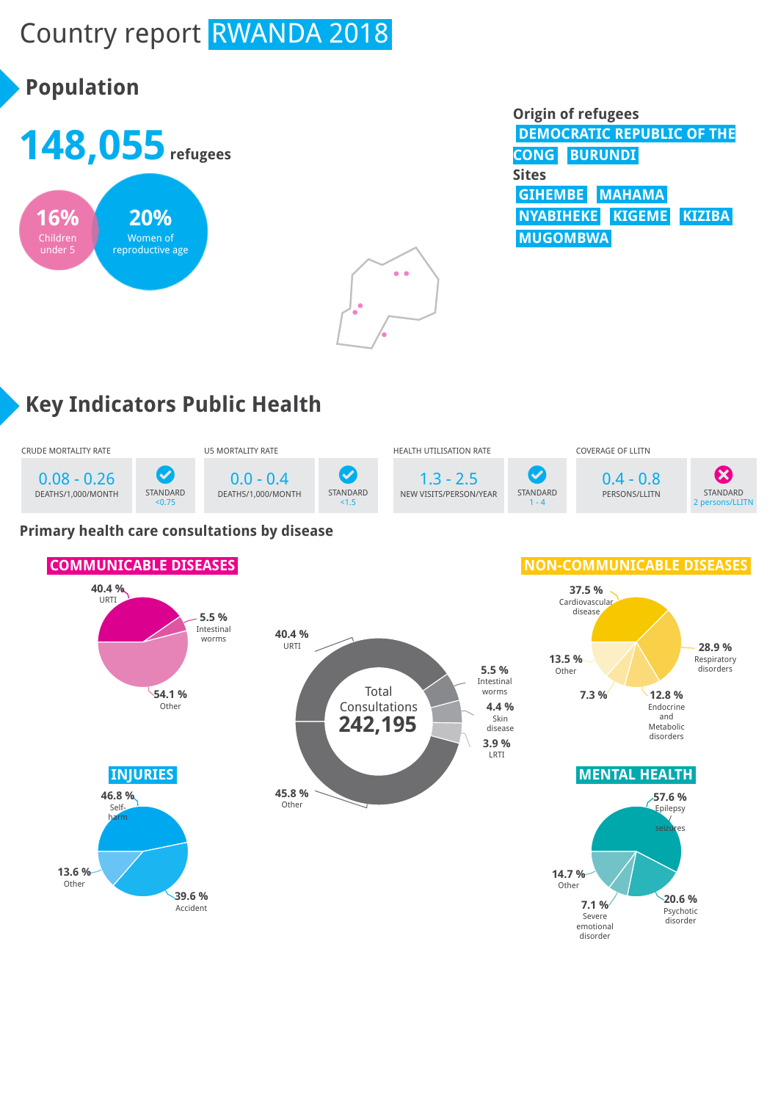# Country report RWANDA 2018

# **Population**





| <b>Origin of refugees</b>         |  |
|-----------------------------------|--|
| <b>DEMOCRATIC REPUBLIC OF THE</b> |  |
| <b>CONG BURUNDI</b>               |  |
| <b>Sites</b>                      |  |
| GIHEMBE MAHAMA                    |  |
| NYABIHEKE KIGEME KIZIBA           |  |
| <b>MUGOMBWA</b>                   |  |

# **Key Indicators Public Health**



#### **Primary health care consultations by disease**

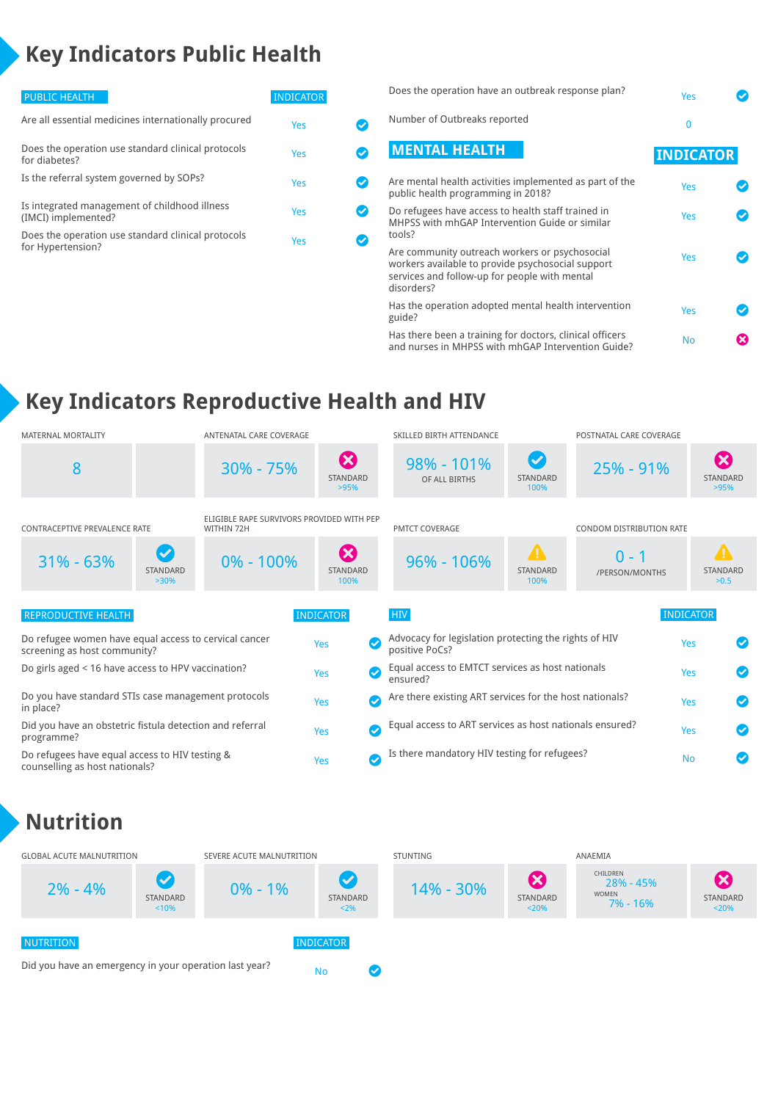## **Key Indicators Public Health**

| <b>PUBLIC HEALTH</b>                                                    | <b>INDICATOR</b> |  |
|-------------------------------------------------------------------------|------------------|--|
| Are all essential medicines internationally procured                    | Yes              |  |
| Does the operation use standard clinical protocols<br>for diabetes?     | Yes              |  |
| Is the referral system governed by SOPs?                                | Yes              |  |
| Is integrated management of childhood illness<br>(IMCI) implemented?    | Yes              |  |
| Does the operation use standard clinical protocols<br>for Hypertension? | Yes              |  |
|                                                                         |                  |  |

| Does the operation have an outbreak response plan?                                                                                                                 | Yes              |  |
|--------------------------------------------------------------------------------------------------------------------------------------------------------------------|------------------|--|
| Number of Outbreaks reported                                                                                                                                       | 0                |  |
| <b>MENTAL HEALTH</b>                                                                                                                                               | <b>INDICATOR</b> |  |
| Are mental health activities implemented as part of the<br>public health programming in 2018?                                                                      | Yes              |  |
| Do refugees have access to health staff trained in<br>MHPSS with mhGAP Intervention Guide or similar<br>tools?                                                     | Yes              |  |
| Are community outreach workers or psychosocial<br>workers available to provide psychosocial support<br>services and follow-up for people with mental<br>disorders? | Yes              |  |
| Has the operation adopted mental health intervention<br>guide?                                                                                                     | Yes              |  |
| Has there been a training for doctors, clinical officers<br>and nurses in MHPSS with mhGAP Intervention Guide?                                                     | No               |  |

## **Key Indicators Reproductive Health and HIV**

| MATERNAL MORTALITY                                                                    | ANTENATAL CARE COVERAGE                                 |                                           | SKILLED BIRTH ATTENDANCE                                                |                                        | POSTNATAL CARE COVERAGE   |                                                  |
|---------------------------------------------------------------------------------------|---------------------------------------------------------|-------------------------------------------|-------------------------------------------------------------------------|----------------------------------------|---------------------------|--------------------------------------------------|
| 8                                                                                     | $30\% - 75\%$                                           | $\boldsymbol{\Omega}$<br>STANDARD<br>>95% | 98% - 101%<br>OF ALL BIRTHS                                             | $\bm{\mathcal{S}}$<br>STANDARD<br>100% | $25% - 91%$               | $\boldsymbol{\Omega}$<br><b>STANDARD</b><br>>95% |
| <b>CONTRACEPTIVE PREVALENCE RATE</b>                                                  | ELIGIBLE RAPE SURVIVORS PROVIDED WITH PEP<br>WITHIN 72H |                                           | <b>PMTCT COVERAGE</b>                                                   |                                        | CONDOM DISTRIBUTION RATE  |                                                  |
| $\blacktriangledown$<br>$31\% - 63\%$<br><b>STANDARD</b><br>$>30\%$                   | $0\% - 100\%$                                           | Ø<br><b>STANDARD</b><br>100%              | $96\% - 106\%$                                                          | $\blacksquare$<br>STANDARD<br>100%     | $0 - 1$<br>/PERSON/MONTHS | $\blacktriangle$<br>STANDARD<br>>0.5             |
| REPRODUCTIVE HEALTH                                                                   |                                                         | <b>INDICATOR</b>                          | <b>HIV</b>                                                              |                                        |                           | <b>INDICATOR</b>                                 |
| Do refugee women have equal access to cervical cancer<br>screening as host community? |                                                         | Ø<br>Yes                                  | Advocacy for legislation protecting the rights of HIV<br>positive PoCs? |                                        |                           | Yes                                              |
| Do girls aged < 16 have access to HPV vaccination?                                    |                                                         | $\bullet$<br>Yes                          | Equal access to EMTCT services as host nationals<br>ensured?            |                                        |                           | Yes                                              |
| Do you have standard STIs case management protocols<br>in place?                      |                                                         | $\checkmark$<br>Yes                       | Are there existing ART services for the host nationals?                 |                                        |                           | Yes                                              |
| Did you have an obstetric fistula detection and referral<br>programme?                |                                                         | Ø<br>Yes                                  | Equal access to ART services as host nationals ensured?                 |                                        |                           | Yes                                              |
| Do refugees have equal access to HIV testing &<br>counselling as host nationals?      |                                                         | Ø<br>Yes                                  | Is there mandatory HIV testing for refugees?                            |                                        |                           | <b>No</b>                                        |

## **Nutrition**